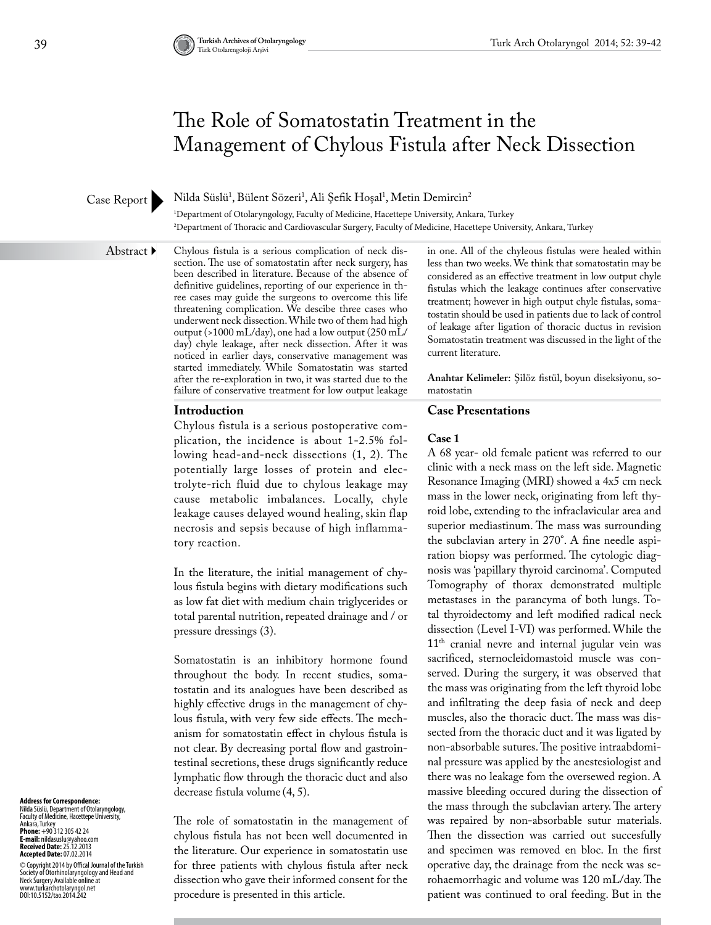# The Role of Somatostatin Treatment in the Management of Chylous Fistula after Neck Dissection

## Case Report

Nilda Süslü<sup>1</sup>, Bülent Sözeri<sup>1</sup>, Ali Şefik Hoşal<sup>1</sup>, Metin Demircin<sup>2</sup>

1 Department of Otolaryngology, Faculty of Medicine, Hacettepe University, Ankara, Turkey 2 Department of Thoracic and Cardiovascular Surgery, Faculty of Medicine, Hacettepe University, Ankara, Turkey

#### Abstract ▶

Chylous fistula is a serious complication of neck dissection. The use of somatostatin after neck surgery, has been described in literature. Because of the absence of definitive guidelines, reporting of our experience in three cases may guide the surgeons to overcome this life threatening complication. We descibe three cases who underwent neck dissection. While two of them had high output (>1000 mL/day), one had a low output (250 mL/ day) chyle leakage, after neck dissection. After it was noticed in earlier days, conservative management was started immediately. While Somatostatin was started after the re-exploration in two, it was started due to the failure of conservative treatment for low output leakage

## **Introduction**

Chylous fistula is a serious postoperative complication, the incidence is about 1-2.5% following head-and-neck dissections (1, 2). The potentially large losses of protein and electrolyte-rich fluid due to chylous leakage may cause metabolic imbalances. Locally, chyle leakage causes delayed wound healing, skin flap necrosis and sepsis because of high inflammatory reaction.

In the literature, the initial management of chylous fistula begins with dietary modifications such as low fat diet with medium chain triglycerides or total parental nutrition, repeated drainage and / or pressure dressings (3).

Somatostatin is an inhibitory hormone found throughout the body. In recent studies, somatostatin and its analogues have been described as highly effective drugs in the management of chylous fistula, with very few side effects. The mechanism for somatostatin effect in chylous fistula is not clear. By decreasing portal flow and gastrointestinal secretions, these drugs significantly reduce lymphatic flow through the thoracic duct and also decrease fistula volume (4, 5).

The role of somatostatin in the management of chylous fistula has not been well documented in the literature. Our experience in somatostatin use for three patients with chylous fistula after neck dissection who gave their informed consent for the procedure is presented in this article.

in one. All of the chyleous fistulas were healed within less than two weeks. We think that somatostatin may be considered as an effective treatment in low output chyle fistulas which the leakage continues after conservative treatment; however in high output chyle fistulas, somatostatin should be used in patients due to lack of control of leakage after ligation of thoracic ductus in revision Somatostatin treatment was discussed in the light of the current literature.

**Anahtar Kelimeler:** Şilöz fistül, boyun diseksiyonu, somatostatin

## **Case Presentations**

#### **Case 1**

A 68 year- old female patient was referred to our clinic with a neck mass on the left side. Magnetic Resonance Imaging (MRI) showed a 4x5 cm neck mass in the lower neck, originating from left thyroid lobe, extending to the infraclavicular area and superior mediastinum. The mass was surrounding the subclavian artery in 270°. A fine needle aspiration biopsy was performed. The cytologic diagnosis was 'papillary thyroid carcinoma'. Computed Tomography of thorax demonstrated multiple metastases in the parancyma of both lungs. Total thyroidectomy and left modified radical neck dissection (Level I-VI) was performed. While the  $11<sup>th</sup>$  cranial nevre and internal jugular vein was sacrificed, sternocleidomastoid muscle was conserved. During the surgery, it was observed that the mass was originating from the left thyroid lobe and infiltrating the deep fasia of neck and deep muscles, also the thoracic duct. The mass was dissected from the thoracic duct and it was ligated by non-absorbable sutures. The positive intraabdominal pressure was applied by the anestesiologist and there was no leakage fom the oversewed region. A massive bleeding occured during the dissection of the mass through the subclavian artery. The artery was repaired by non-absorbable sutur materials. Then the dissection was carried out succesfully and specimen was removed en bloc. In the first operative day, the drainage from the neck was serohaemorrhagic and volume was 120 mL/day. The patient was continued to oral feeding. But in the

**Address for Correspondence:**  Nilda Süslü, Department of Otolaryngology, Faculty of Medicine, Hacettepe University, Ankara, Turkey **Phone:** +90 312 305 42 24 **E-mail:** nildasuslu@yahoo.com **Received Date:** 25.12.2013 **Accepted Date:** 07.02.2014

© Copyright 2014 by Offical Journal of the Turkish<br>Neckety of Otorhinolaryngology and Head and<br>Neck Surgery Available online at<br>www.turkarchotolaryngol.net<br>DOI:10.5152/tao.2014.242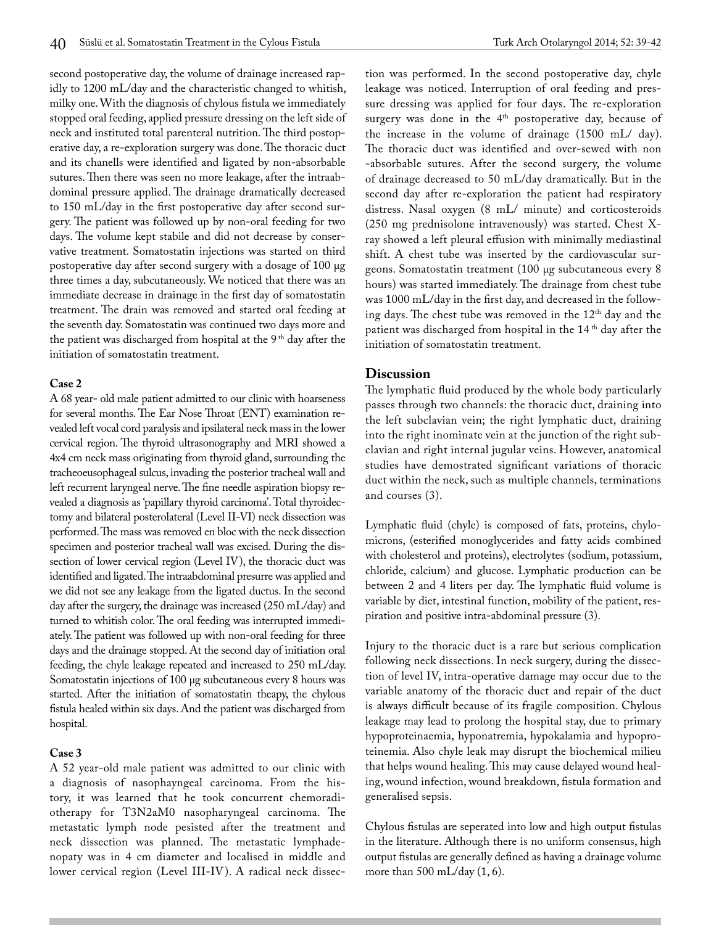second postoperative day, the volume of drainage increased rapidly to 1200 mL/day and the characteristic changed to whitish, milky one. With the diagnosis of chylous fistula we immediately stopped oral feeding, applied pressure dressing on the left side of neck and instituted total parenteral nutrition. The third postoperative day, a re-exploration surgery was done. The thoracic duct and its chanells were identified and ligated by non-absorbable sutures. Then there was seen no more leakage, after the intraabdominal pressure applied. The drainage dramatically decreased to 150 mL/day in the first postoperative day after second surgery. The patient was followed up by non-oral feeding for two days. The volume kept stabile and did not decrease by conservative treatment. Somatostatin injections was started on third postoperative day after second surgery with a dosage of 100 μg three times a day, subcutaneously. We noticed that there was an immediate decrease in drainage in the first day of somatostatin treatment. The drain was removed and started oral feeding at the seventh day. Somatostatin was continued two days more and the patient was discharged from hospital at the  $9<sup>th</sup>$  day after the initiation of somatostatin treatment.

#### **Case 2**

A 68 year- old male patient admitted to our clinic with hoarseness for several months. The Ear Nose Throat (ENT) examination revealed left vocal cord paralysis and ipsilateral neck mass in the lower cervical region. The thyroid ultrasonography and MRI showed a 4x4 cm neck mass originating from thyroid gland, surrounding the tracheoeusophageal sulcus, invading the posterior tracheal wall and left recurrent laryngeal nerve. The fine needle aspiration biopsy revealed a diagnosis as 'papillary thyroid carcinoma'. Total thyroidectomy and bilateral posterolateral (Level II-VI) neck dissection was performed. The mass was removed en bloc with the neck dissection specimen and posterior tracheal wall was excised. During the dissection of lower cervical region (Level IV), the thoracic duct was identified and ligated. The intraabdominal presurre was applied and we did not see any leakage from the ligated ductus. In the second day after the surgery, the drainage was increased (250 mL/day) and turned to whitish color. The oral feeding was interrupted immediately. The patient was followed up with non-oral feeding for three days and the drainage stopped. At the second day of initiation oral feeding, the chyle leakage repeated and increased to 250 mL/day. Somatostatin injections of 100 μg subcutaneous every 8 hours was started. After the initiation of somatostatin theapy, the chylous fistula healed within six days. And the patient was discharged from hospital.

## **Case 3**

A 52 year-old male patient was admitted to our clinic with a diagnosis of nasophayngeal carcinoma. From the history, it was learned that he took concurrent chemoradiotherapy for T3N2aM0 nasopharyngeal carcinoma. The metastatic lymph node pesisted after the treatment and neck dissection was planned. The metastatic lymphadenopaty was in 4 cm diameter and localised in middle and lower cervical region (Level III-IV). A radical neck dissection was performed. In the second postoperative day, chyle leakage was noticed. Interruption of oral feeding and pressure dressing was applied for four days. The re-exploration surgery was done in the 4<sup>th</sup> postoperative day, because of the increase in the volume of drainage (1500 mL/ day). The thoracic duct was identified and over-sewed with non -absorbable sutures. After the second surgery, the volume of drainage decreased to 50 mL/day dramatically. But in the second day after re-exploration the patient had respiratory distress. Nasal oxygen (8 mL/ minute) and corticosteroids (250 mg prednisolone intravenously) was started. Chest Xray showed a left pleural effusion with minimally mediastinal shift. A chest tube was inserted by the cardiovascular surgeons. Somatostatin treatment (100 μg subcutaneous every 8 hours) was started immediately. The drainage from chest tube was 1000 mL/day in the first day, and decreased in the following days. The chest tube was removed in the 12<sup>th</sup> day and the patient was discharged from hospital in the 14<sup>th</sup> day after the initiation of somatostatin treatment.

## **Discussion**

The lymphatic fluid produced by the whole body particularly passes through two channels: the thoracic duct, draining into the left subclavian vein; the right lymphatic duct, draining into the right inominate vein at the junction of the right subclavian and right internal jugular veins. However, anatomical studies have demostrated significant variations of thoracic duct within the neck, such as multiple channels, terminations and courses (3).

Lymphatic fluid (chyle) is composed of fats, proteins, chylomicrons, (esterified monoglycerides and fatty acids combined with cholesterol and proteins), electrolytes (sodium, potassium, chloride, calcium) and glucose. Lymphatic production can be between 2 and 4 liters per day. The lymphatic fluid volume is variable by diet, intestinal function, mobility of the patient, respiration and positive intra-abdominal pressure (3).

Injury to the thoracic duct is a rare but serious complication following neck dissections. In neck surgery, during the dissection of level IV, intra-operative damage may occur due to the variable anatomy of the thoracic duct and repair of the duct is always difficult because of its fragile composition. Chylous leakage may lead to prolong the hospital stay, due to primary hypoproteinaemia, hyponatremia, hypokalamia and hypoproteinemia. Also chyle leak may disrupt the biochemical milieu that helps wound healing. This may cause delayed wound healing, wound infection, wound breakdown, fistula formation and generalised sepsis.

Chylous fistulas are seperated into low and high output fistulas in the literature. Although there is no uniform consensus, high output fistulas are generally defined as having a drainage volume more than 500 mL/day (1, 6).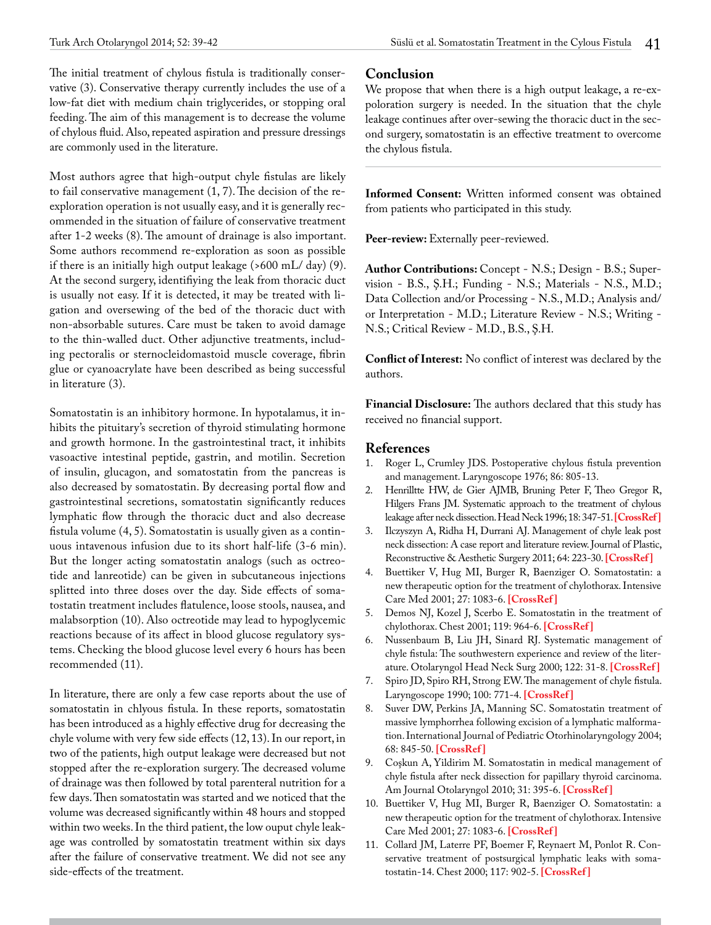The initial treatment of chylous fistula is traditionally conservative (3). Conservative therapy currently includes the use of a low-fat diet with medium chain triglycerides, or stopping oral feeding. The aim of this management is to decrease the volume of chylous fluid. Also, repeated aspiration and pressure dressings are commonly used in the literature.

Most authors agree that high-output chyle fistulas are likely to fail conservative management (1, 7). The decision of the reexploration operation is not usually easy, and it is generally recommended in the situation of failure of conservative treatment after 1-2 weeks (8). The amount of drainage is also important. Some authors recommend re-exploration as soon as possible if there is an initially high output leakage (>600 mL/ day) (9). At the second surgery, identifiying the leak from thoracic duct is usually not easy. If it is detected, it may be treated with ligation and oversewing of the bed of the thoracic duct with non-absorbable sutures. Care must be taken to avoid damage to the thin-walled duct. Other adjunctive treatments, including pectoralis or sternocleidomastoid muscle coverage, fibrin glue or cyanoacrylate have been described as being successful in literature (3).

Somatostatin is an inhibitory hormone. In hypotalamus, it inhibits the pituitary's secretion of thyroid stimulating hormone and growth hormone. In the gastrointestinal tract, it inhibits vasoactive intestinal peptide, gastrin, and motilin. Secretion of insulin, glucagon, and somatostatin from the pancreas is also decreased by somatostatin. By decreasing portal flow and gastrointestinal secretions, somatostatin significantly reduces lymphatic flow through the thoracic duct and also decrease fistula volume (4, 5). Somatostatin is usually given as a continuous intavenous infusion due to its short half-life (3-6 min). But the longer acting somatostatin analogs (such as octreotide and lanreotide) can be given in subcutaneous injections splitted into three doses over the day. Side effects of somatostatin treatment includes flatulence, loose stools, nausea, and malabsorption (10). Also octreotide may lead to hypoglycemic reactions because of its affect in blood glucose regulatory systems. Checking the blood glucose level every 6 hours has been recommended (11).

In literature, there are only a few case reports about the use of somatostatin in chlyous fistula. In these reports, somatostatin has been introduced as a highly effective drug for decreasing the chyle volume with very few side effects (12, 13). In our report, in two of the patients, high output leakage were decreased but not stopped after the re-exploration surgery. The decreased volume of drainage was then followed by total parenteral nutrition for a few days. Then somatostatin was started and we noticed that the volume was decreased significantly within 48 hours and stopped within two weeks. In the third patient, the low ouput chyle leakage was controlled by somatostatin treatment within six days after the failure of conservative treatment. We did not see any side-effects of the treatment.

## **Conclusion**

We propose that when there is a high output leakage, a re-expoloration surgery is needed. In the situation that the chyle leakage continues after over-sewing the thoracic duct in the second surgery, somatostatin is an effective treatment to overcome the chylous fistula.

**Informed Consent:** Written informed consent was obtained from patients who participated in this study.

Peer-review: Externally peer-reviewed.

**Author Contributions:** Concept - N.S.; Design - B.S.; Supervision - B.S., Ş.H.; Funding - N.S.; Materials - N.S., M.D.; Data Collection and/or Processing - N.S., M.D.; Analysis and/ or Interpretation - M.D.; Literature Review - N.S.; Writing - N.S.; Critical Review - M.D., B.S., Ş.H.

**Conflict of Interest:** No conflict of interest was declared by the authors.

**Financial Disclosure:** The authors declared that this study has received no financial support.

## **References**

- 1. Roger L, Crumley JDS. Postoperative chylous fistula prevention and management. Laryngoscope 1976; 86: 805-13.
- 2. Henrilltte HW, de Gier AJMB, Bruning Peter F, Theo Gregor R, Hilgers Frans JM. Systematic approach to the treatment of chylous leakage after neck dissection. Head Neck 1996; 18: 347-51. **[\[CrossRef \]](http://dx.doi.org/10.1002/(SICI)1097-0347(199607/08)18:4<347::AID-HED6>3.0.CO;2-Y)**
- 3. Ilczyszyn A, Ridha H, Durrani AJ. Management of chyle leak post neck dissection: A case report and literature review. Journal of Plastic, Reconstructive & Aesthetic Surgery 2011; 64: 223-30. **[[CrossRef \]](http://dx.doi.org/10.1016/j.bjps.2010.12.018)**
- 4. Buettiker V, Hug MI, Burger R, Baenziger O. Somatostatin: a new therapeutic option for the treatment of chylothorax. Intensive Care Med 2001; 27: 1083-6. **[\[CrossRef \]](http://dx.doi.org/10.1007/s001340100959)**
- 5. Demos NJ, Kozel J, Scerbo E. Somatostatin in the treatment of chylothorax. Chest 2001; 119: 964-6. **[\[CrossRef \]](http://dx.doi.org/10.1378/chest.119.3.964)**
- 6. Nussenbaum B, Liu JH, Sinard RJ. Systematic management of chyle fistula: The southwestern experience and review of the literature. Otolaryngol Head Neck Surg 2000; 122: 31-8. **[\[CrossRef \]](http://dx.doi.org/10.1016/S0194-5998(00)70140-9)**
- 7. Spiro JD, Spiro RH, Strong EW. The management of chyle fistula. Laryngoscope 1990; 100: 771-4. **[\[CrossRef \]](http://dx.doi.org/10.1288/00005537-199007000-00014)**
- 8. Suver DW, Perkins JA, Manning SC. Somatostatin treatment of massive lymphorrhea following excision of a lymphatic malformation. International Journal of Pediatric Otorhinolaryngology 2004; 68: 845-50. **[[CrossRef](http://dx.doi.org/10.1016/j.ijporl.2004.01.017) ]**
- 9. Coşkun A, Yildirim M. Somatostatin in medical management of chyle fistula after neck dissection for papillary thyroid carcinoma. Am Journal Otolaryngol 2010; 31: 395-6. **[[CrossRef](http://dx.doi.org/10.1016/j.amjoto.2009.05.002) ]**
- 10. Buettiker V, Hug MI, Burger R, Baenziger O. Somatostatin: a new therapeutic option for the treatment of chylothorax. Intensive Care Med 2001; 27: 1083-6. **[\[CrossRef \]](http://dx.doi.org/10.1007/s001340100959)**
- 11. Collard JM, Laterre PF, Boemer F, Reynaert M, Ponlot R. Conservative treatment of postsurgical lymphatic leaks with somatostatin-14. Chest 2000; 117: 902-5. **[[CrossRef](http://dx.doi.org/10.1378/chest.117.3.902) ]**